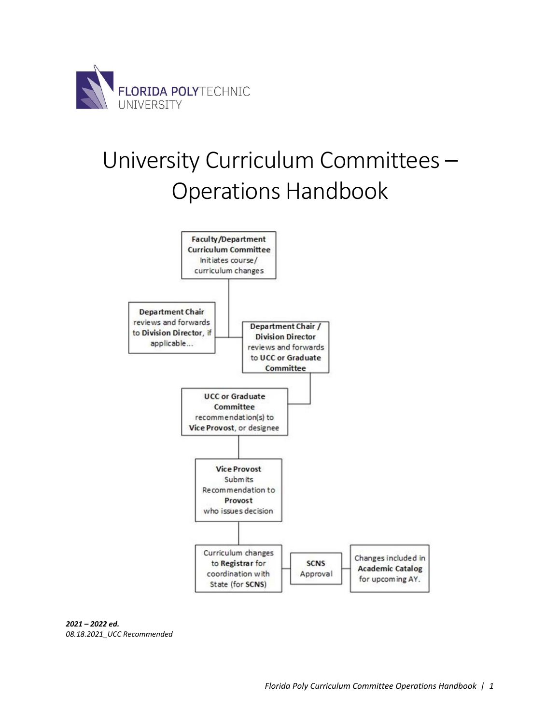

# University Curriculum Committees – Operations Handbook



*2021 – 2022 ed. 08.18.2021\_UCC Recommended*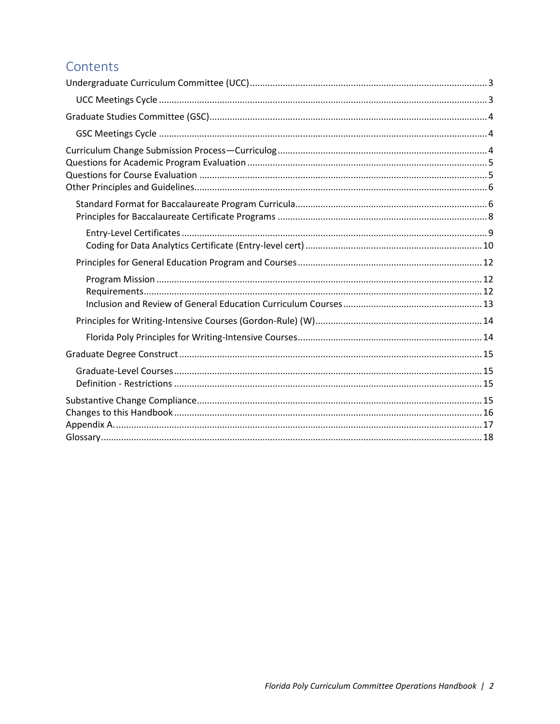# Contents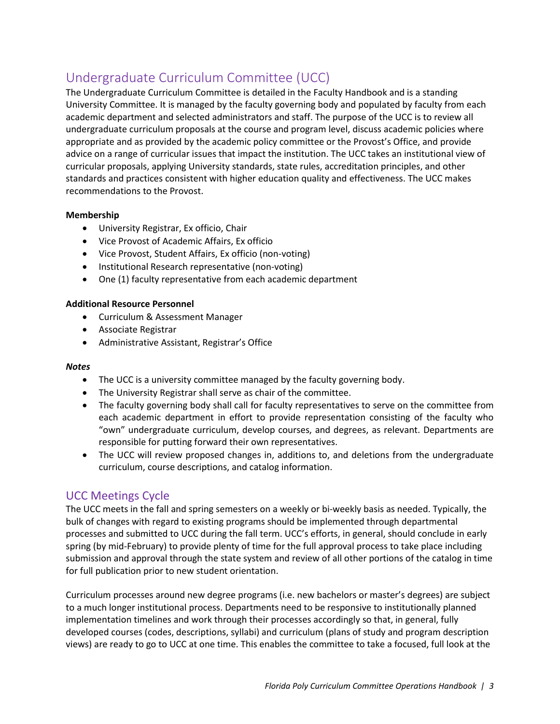# <span id="page-2-0"></span>Undergraduate Curriculum Committee (UCC)

The Undergraduate Curriculum Committee is detailed in the Faculty Handbook and is a standing University Committee. It is managed by the faculty governing body and populated by faculty from each academic department and selected administrators and staff. The purpose of the UCC is to review all undergraduate curriculum proposals at the course and program level, discuss academic policies where appropriate and as provided by the academic policy committee or the Provost's Office, and provide advice on a range of curricular issues that impact the institution. The UCC takes an institutional view of curricular proposals, applying University standards, state rules, accreditation principles, and other standards and practices consistent with higher education quality and effectiveness. The UCC makes recommendations to the Provost.

#### **Membership**

- University Registrar, Ex officio, Chair
- Vice Provost of Academic Affairs, Ex officio
- Vice Provost, Student Affairs, Ex officio (non-voting)
- Institutional Research representative (non-voting)
- One (1) faculty representative from each academic department

#### **Additional Resource Personnel**

- Curriculum & Assessment Manager
- Associate Registrar
- Administrative Assistant, Registrar's Office

#### *Notes*

- The UCC is a university committee managed by the faculty governing body.
- The University Registrar shall serve as chair of the committee.
- The faculty governing body shall call for faculty representatives to serve on the committee from each academic department in effort to provide representation consisting of the faculty who "own" undergraduate curriculum, develop courses, and degrees, as relevant. Departments are responsible for putting forward their own representatives.
- The UCC will review proposed changes in, additions to, and deletions from the undergraduate curriculum, course descriptions, and catalog information.

### <span id="page-2-1"></span>UCC Meetings Cycle

The UCC meets in the fall and spring semesters on a weekly or bi-weekly basis as needed. Typically, the bulk of changes with regard to existing programs should be implemented through departmental processes and submitted to UCC during the fall term. UCC's efforts, in general, should conclude in early spring (by mid-February) to provide plenty of time for the full approval process to take place including submission and approval through the state system and review of all other portions of the catalog in time for full publication prior to new student orientation.

Curriculum processes around new degree programs (i.e. new bachelors or master's degrees) are subject to a much longer institutional process. Departments need to be responsive to institutionally planned implementation timelines and work through their processes accordingly so that, in general, fully developed courses (codes, descriptions, syllabi) and curriculum (plans of study and program description views) are ready to go to UCC at one time. This enables the committee to take a focused, full look at the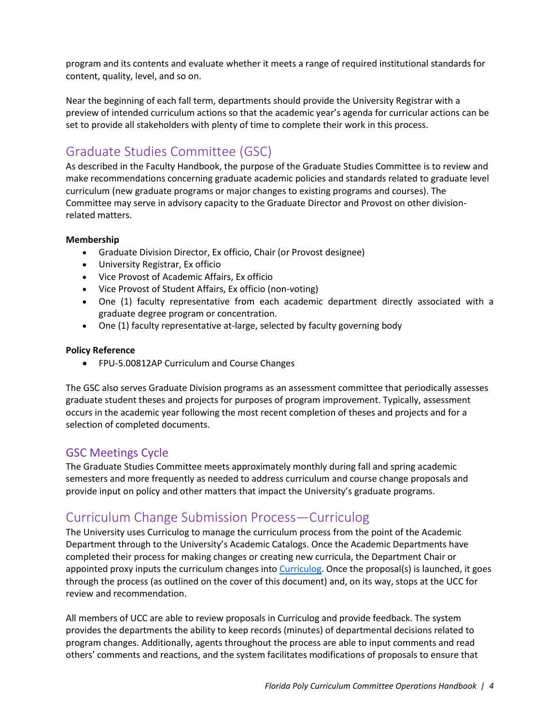program and its contents and evaluate whether it meets a range of required institutional standards for content, quality, level, and so on.

Near the beginning of each fall term, departments should provide the University Registrar with a preview of intended curriculum actions so that the academic year's agenda for curricular actions can be set to provide all stakeholders with plenty of time to complete their work in this process.

# <span id="page-3-0"></span>Graduate Studies Committee (GSC)

As described in the Faculty Handbook, the purpose of the Graduate Studies Committee is to review and make recommendations concerning graduate academic policies and standards related to graduate level curriculum (new graduate programs or major changes to existing programs and courses). The Committee may serve in advisory capacity to the Graduate Director and Provost on other divisionrelated matters.

#### **Membership**

- Graduate Division Director, Ex officio, Chair (or Provost designee)
- University Registrar, Ex officio
- Vice Provost of Academic Affairs, Ex officio
- Vice Provost of Student Affairs, Ex officio (non-voting)
- One (1) faculty representative from each academic department directly associated with a graduate degree program or concentration.
- One (1) faculty representative at-large, selected by faculty governing body

#### **Policy Reference**

• FPU-5.00812AP Curriculum and Course Changes

The GSC also serves Graduate Division programs as an assessment committee that periodically assesses graduate student theses and projects for purposes of program improvement. Typically, assessment occurs in the academic year following the most recent completion of theses and projects and for a selection of completed documents.

### <span id="page-3-1"></span>GSC Meetings Cycle

The Graduate Studies Committee meets approximately monthly during fall and spring academic semesters and more frequently as needed to address curriculum and course change proposals and provide input on policy and other matters that impact the University's graduate programs.

# <span id="page-3-2"></span>Curriculum Change Submission Process—Curriculog

The University uses Curriculog to manage the curriculum process from the point of the Academic Department through to the University's Academic Catalogs. Once the Academic Departments have completed their process for making changes or creating new curricula, the Department Chair or appointed proxy inputs the curriculum changes int[o Curriculog.](https://floridapolytechnic.curriculog.com/) Once the proposal(s) is launched, it goes through the process (as outlined on the cover of this document) and, on its way, stops at the UCC for review and recommendation.

All members of UCC are able to review proposals in Curriculog and provide feedback. The system provides the departments the ability to keep records (minutes) of departmental decisions related to program changes. Additionally, agents throughout the process are able to input comments and read others' comments and reactions, and the system facilitates modifications of proposals to ensure that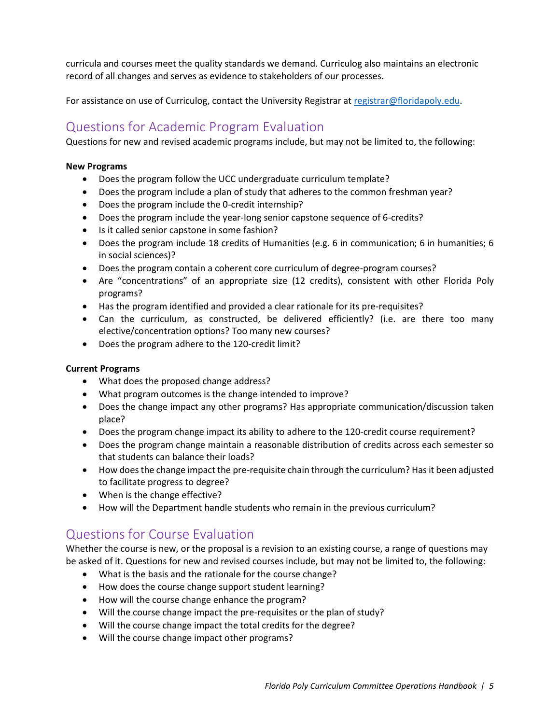curricula and courses meet the quality standards we demand. Curriculog also maintains an electronic record of all changes and serves as evidence to stakeholders of our processes.

<span id="page-4-0"></span>For assistance on use of Curriculog, contact the University Registrar at [registrar@floridapoly.edu.](mailto:registrar@floridapoly.edu)

# Questions for Academic Program Evaluation

Questions for new and revised academic programs include, but may not be limited to, the following:

#### **New Programs**

- Does the program follow the UCC undergraduate curriculum template?
- Does the program include a plan of study that adheres to the common freshman year?
- Does the program include the 0-credit internship?
- Does the program include the year-long senior capstone sequence of 6-credits?
- Is it called senior capstone in some fashion?
- Does the program include 18 credits of Humanities (e.g. 6 in communication; 6 in humanities; 6 in social sciences)?
- Does the program contain a coherent core curriculum of degree-program courses?
- Are "concentrations" of an appropriate size (12 credits), consistent with other Florida Poly programs?
- Has the program identified and provided a clear rationale for its pre-requisites?
- Can the curriculum, as constructed, be delivered efficiently? (i.e. are there too many elective/concentration options? Too many new courses?
- Does the program adhere to the 120-credit limit?

#### **Current Programs**

- What does the proposed change address?
- What program outcomes is the change intended to improve?
- Does the change impact any other programs? Has appropriate communication/discussion taken place?
- Does the program change impact its ability to adhere to the 120-credit course requirement?
- Does the program change maintain a reasonable distribution of credits across each semester so that students can balance their loads?
- How does the change impact the pre-requisite chain through the curriculum? Has it been adjusted to facilitate progress to degree?
- When is the change effective?
- How will the Department handle students who remain in the previous curriculum?

# <span id="page-4-1"></span>Questions for Course Evaluation

Whether the course is new, or the proposal is a revision to an existing course, a range of questions may be asked of it. Questions for new and revised courses include, but may not be limited to, the following:

- What is the basis and the rationale for the course change?
- How does the course change support student learning?
- How will the course change enhance the program?
- Will the course change impact the pre-requisites or the plan of study?
- Will the course change impact the total credits for the degree?
- Will the course change impact other programs?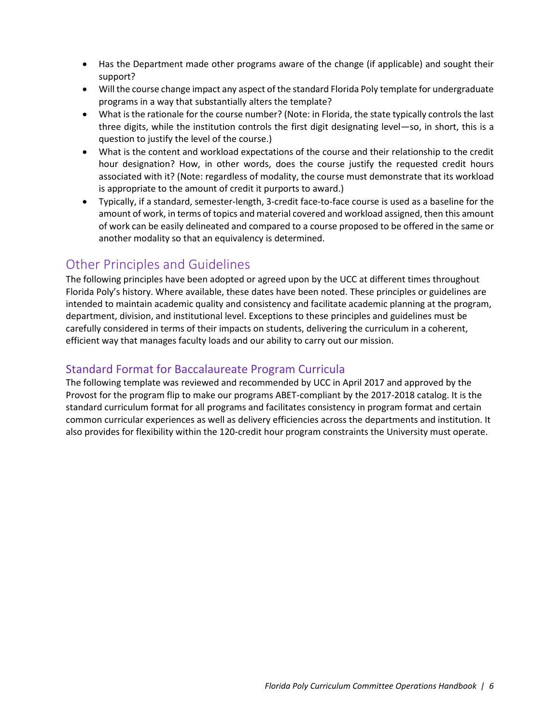- Has the Department made other programs aware of the change (if applicable) and sought their support?
- Will the course change impact any aspect of the standard Florida Poly template for undergraduate programs in a way that substantially alters the template?
- What is the rationale for the course number? (Note: in Florida, the state typically controls the last three digits, while the institution controls the first digit designating level—so, in short, this is a question to justify the level of the course.)
- What is the content and workload expectations of the course and their relationship to the credit hour designation? How, in other words, does the course justify the requested credit hours associated with it? (Note: regardless of modality, the course must demonstrate that its workload is appropriate to the amount of credit it purports to award.)
- Typically, if a standard, semester-length, 3-credit face-to-face course is used as a baseline for the amount of work, in terms of topics and material covered and workload assigned, then this amount of work can be easily delineated and compared to a course proposed to be offered in the same or another modality so that an equivalency is determined.

# <span id="page-5-0"></span>Other Principles and Guidelines

The following principles have been adopted or agreed upon by the UCC at different times throughout Florida Poly's history. Where available, these dates have been noted. These principles or guidelines are intended to maintain academic quality and consistency and facilitate academic planning at the program, department, division, and institutional level. Exceptions to these principles and guidelines must be carefully considered in terms of their impacts on students, delivering the curriculum in a coherent, efficient way that manages faculty loads and our ability to carry out our mission.

### <span id="page-5-1"></span>Standard Format for Baccalaureate Program Curricula

The following template was reviewed and recommended by UCC in April 2017 and approved by the Provost for the program flip to make our programs ABET-compliant by the 2017-2018 catalog. It is the standard curriculum format for all programs and facilitates consistency in program format and certain common curricular experiences as well as delivery efficiencies across the departments and institution. It also provides for flexibility within the 120-credit hour program constraints the University must operate.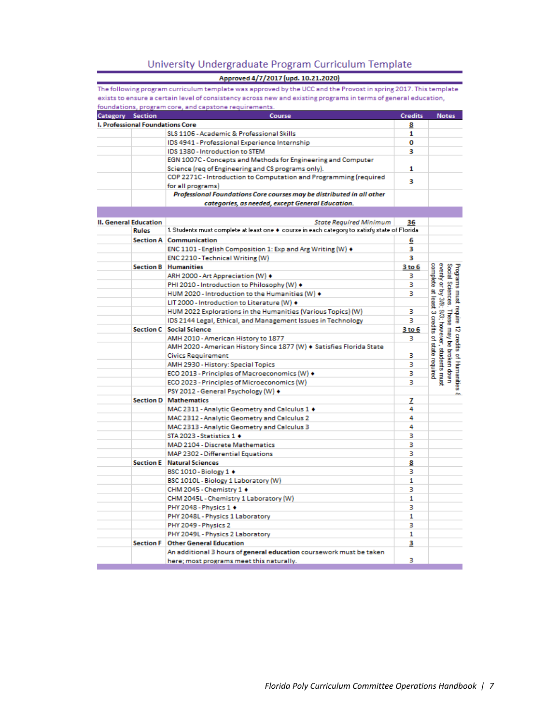#### University Undergraduate Program Curriculum Template

|                                         | Approved 4/7/2017 (upd. 10.21.2020)                                                                             |                |                                                                                |
|-----------------------------------------|-----------------------------------------------------------------------------------------------------------------|----------------|--------------------------------------------------------------------------------|
|                                         | The following program curriculum template was approved by the UCC and the Provost in spring 2017. This template |                |                                                                                |
|                                         | exists to ensure a certain level of consistency across new and existing programs in terms of general education, |                |                                                                                |
|                                         | foundations, program core, and capstone requirements.                                                           |                |                                                                                |
| <b>Section</b><br>Category              | Course                                                                                                          | <b>Credits</b> | <b>Notes</b>                                                                   |
| <b>I. Professional Foundations Core</b> |                                                                                                                 | 8              |                                                                                |
|                                         | SLS 1106 - Academic & Professional Skills                                                                       | 1              |                                                                                |
|                                         | IDS 4941 - Professional Experience Internship                                                                   | 0              |                                                                                |
|                                         | IDS 1380 - Introduction to STEM                                                                                 | 3              |                                                                                |
|                                         | EGN 1007C - Concepts and Methods for Engineering and Computer                                                   |                |                                                                                |
|                                         | Science (req of Engineering and CS programs only).                                                              | 1              |                                                                                |
|                                         | COP 2271C - Introduction to Computation and Programming (required<br>for all programs)                          | з              |                                                                                |
|                                         | Professional Foundations Core courses may be distributed in all other                                           |                |                                                                                |
|                                         | categories, as needed, except General Education.                                                                |                |                                                                                |
|                                         |                                                                                                                 |                |                                                                                |
| <b>II. General Education</b>            | <b>State Required Minimum</b>                                                                                   | 36             |                                                                                |
| <b>Rules</b>                            | 1. Students must complete at least one $\bullet$ course in each category to satisfy state of Florida.           |                |                                                                                |
|                                         | <b>Section A</b> Communication                                                                                  | 6              |                                                                                |
|                                         | ENC 1101 - English Composition 1: Exp and Arg Writing (W) ♦                                                     | 3              |                                                                                |
|                                         | ENC 2210 - Technical Writing (W)                                                                                | 3              |                                                                                |
|                                         | <b>Section B</b> Humanities                                                                                     | 3 to 6         | Programs must require 1<br>Social Sciences. These<br>evenly or by 3/9; 9/3; ho |
|                                         | ARH 2000 - Art Appreciation (W) ♦                                                                               | з              |                                                                                |
|                                         | PHI 2010 - Introduction to Philosophy (W) ♦                                                                     | з              |                                                                                |
|                                         | HUM 2020 - Introduction to the Humanities (W) ♦                                                                 | з              |                                                                                |
|                                         | LIT 2000 - Introduction to Literature (W) ♦                                                                     |                |                                                                                |
|                                         | HUM 2022 Explorations in the Humanities (Various Topics) (W)                                                    | з              |                                                                                |
|                                         | IDS 2144 Legal, Ethical, and Management Issues in Technology                                                    | з              | These                                                                          |
|                                         | <b>Section C</b> Social Science                                                                                 | 3 to 6         |                                                                                |
|                                         | AMH 2010 - American History to 1877                                                                             | з              |                                                                                |
|                                         | AMH 2020 - American History Since 1877 (W) . Satisfies Florida State                                            |                | complete at least 3 credits of state required<br>9/3; however, students must   |
|                                         | <b>Civics Requirement</b>                                                                                       | з              |                                                                                |
|                                         | AMH 2930 - History: Special Topics                                                                              | з              |                                                                                |
|                                         | ECO 2013 - Principles of Macroeconomics (W) +                                                                   | з              |                                                                                |
|                                         | ECO 2023 - Principles of Microeconomics (W)                                                                     | з              | 12 credits of Humanities<br>may be broken down                                 |
|                                         | PSY 2012 - General Psychology (W) ♦                                                                             |                |                                                                                |
|                                         | <b>Section D   Mathematics</b>                                                                                  | z              |                                                                                |
|                                         | MAC 2311 - Analytic Geometry and Calculus 1 ♦                                                                   | 4              |                                                                                |
|                                         | MAC 2312 - Analytic Geometry and Calculus 2                                                                     | 4              |                                                                                |

MAC 2313 - Analytic Geometry and Calculus 3

STA 2023 - Statistics 1 +

BSC 1010 - Biology 1 +

CHM 2045 - Chemistry 1 ♦

PHY 2048 - Physics 1 +

PHY 2049 - Physics 2

Section F Other General Education

**Section E** Natural Sciences

MAD 2104 - Discrete Mathematics

MAP 2302 - Differential Equations

BSC 1010L - Biology 1 Laboratory (W)

PHY 2048L - Physics 1 Laboratory

PHY 2049L - Physics 2 Laboratory

CHM 2045L - Chemistry 1 Laboratory (W)

here; most programs meet this naturally.

An additional 3 hours of general education coursework must be taken

4

3

3

3

8

з

 $\mathbf{1}$ 

3.

1

з

1

з

 $\mathbf{1}$ 

3

з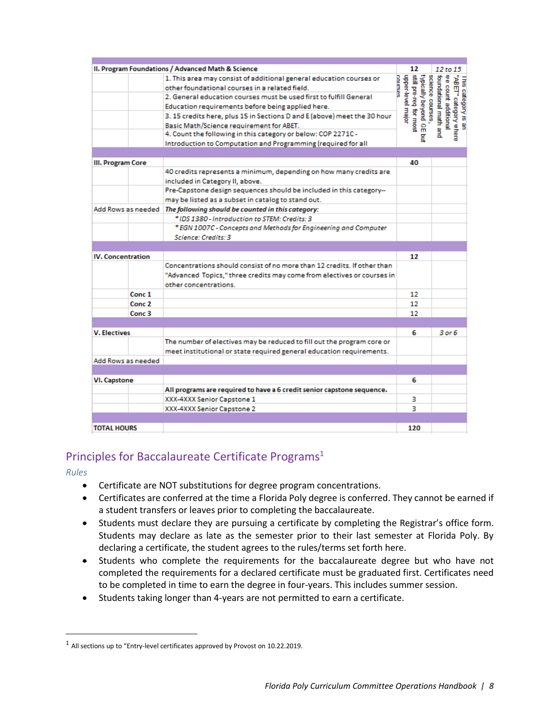|                          | II. Program Foundations / Advanced Math & Science                        | 12                           | 12 to 15                                                                                                                                                                 |
|--------------------------|--------------------------------------------------------------------------|------------------------------|--------------------------------------------------------------------------------------------------------------------------------------------------------------------------|
|                          | 1. This area may consist of additional general education courses or      | upper-level major<br>courses | §                                                                                                                                                                        |
|                          | other foundational courses in a related field.                           |                              | ¦ foundational math and<br>= science courses,<br>typically beyond GE but<br>{ still pre-req for most<br>This category is an<br>"ABET" category where<br>count additional |
|                          | 2. General education courses must be used first to fulfill General       |                              |                                                                                                                                                                          |
|                          | Education requirements before being applied here.                        |                              |                                                                                                                                                                          |
|                          | 3. 15 credits here, plus 15 in Sections D and E (above) meet the 30 hour |                              |                                                                                                                                                                          |
|                          | Basic Math/Science requirement for ABET.                                 |                              |                                                                                                                                                                          |
|                          | 4. Count the following in this category or below: COP 2271C -            | g                            |                                                                                                                                                                          |
|                          | Introduction to Computation and Programming (required for all            |                              |                                                                                                                                                                          |
| III. Program Core        |                                                                          | 40                           |                                                                                                                                                                          |
|                          | 40 credits represents a minimum, depending on how many credits are       |                              |                                                                                                                                                                          |
|                          | included in Category II, above.                                          |                              |                                                                                                                                                                          |
|                          | Pre-Capstone design sequences should be included in this category--      |                              |                                                                                                                                                                          |
|                          | may be listed as a subset in catalog to stand out.                       |                              |                                                                                                                                                                          |
| Add Rows as needed       | The following should be counted in this category:                        |                              |                                                                                                                                                                          |
|                          | * IDS 1380 - Introduction to STEM: Credits: 3                            |                              |                                                                                                                                                                          |
|                          | * EGN 1007C - Concepts and Methods for Engineering and Computer          |                              |                                                                                                                                                                          |
|                          | Science: Credits: 3                                                      |                              |                                                                                                                                                                          |
|                          |                                                                          |                              |                                                                                                                                                                          |
| <b>IV. Concentration</b> |                                                                          | 12                           |                                                                                                                                                                          |
|                          | Concentrations should consist of no more than 12 credits. If other than  |                              |                                                                                                                                                                          |
|                          | "Advanced Topics," three credits may come from electives or courses in   |                              |                                                                                                                                                                          |
|                          | other concentrations.                                                    |                              |                                                                                                                                                                          |
| Conc 1                   |                                                                          | 12                           |                                                                                                                                                                          |
| Conc 2                   |                                                                          | 12                           |                                                                                                                                                                          |
| Conc 3                   |                                                                          | 12                           |                                                                                                                                                                          |
| <b>V. Electives</b>      |                                                                          | 6                            | $3$ or $6$                                                                                                                                                               |
|                          | The number of electives may be reduced to fill out the program core or   |                              |                                                                                                                                                                          |
|                          | meet institutional or state required general education requirements.     |                              |                                                                                                                                                                          |
| Add Rows as needed       |                                                                          |                              |                                                                                                                                                                          |
|                          |                                                                          |                              |                                                                                                                                                                          |
| <b>VI. Capstone</b>      |                                                                          | 6                            |                                                                                                                                                                          |
|                          | All programs are required to have a 6 credit senior capstone sequence.   |                              |                                                                                                                                                                          |
|                          | XXX-4XXX Senior Capstone 1                                               | з                            |                                                                                                                                                                          |
|                          | XXX-4XXX Senior Capstone 2                                               | з                            |                                                                                                                                                                          |
|                          |                                                                          |                              |                                                                                                                                                                          |
| <b>TOTAL HOURS</b>       |                                                                          | 120                          |                                                                                                                                                                          |

### <span id="page-7-0"></span>Principles for Baccalaureate Certificate Programs<sup>1</sup>

*Rules*

- Certificate are NOT substitutions for degree program concentrations.
- Certificates are conferred at the time a Florida Poly degree is conferred. They cannot be earned if a student transfers or leaves prior to completing the baccalaureate.
- Students must declare they are pursuing a certificate by completing the Registrar's office form. Students may declare as late as the semester prior to their last semester at Florida Poly. By declaring a certificate, the student agrees to the rules/terms set forth here.
- Students who complete the requirements for the baccalaureate degree but who have not completed the requirements for a declared certificate must be graduated first. Certificates need to be completed in time to earn the degree in four-years. This includes summer session.
- Students taking longer than 4-years are not permitted to earn a certificate.

 $^1$  All sections up to "Entry-level certificates approved by Provost on 10.22.2019.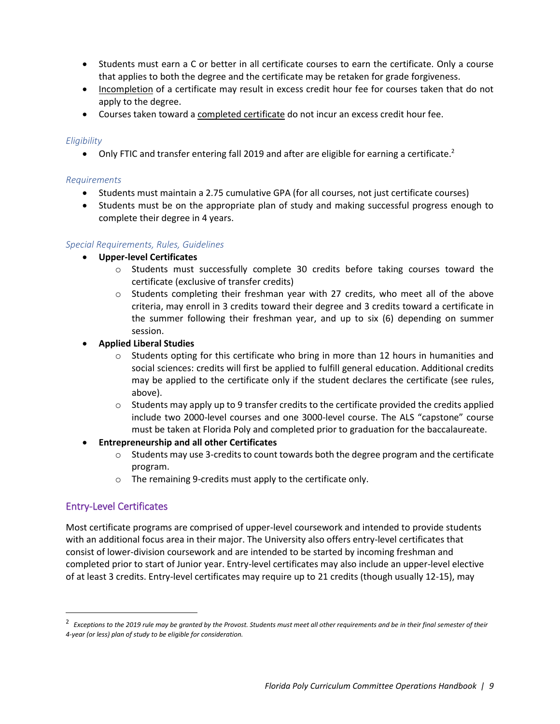- Students must earn a C or better in all certificate courses to earn the certificate. Only a course that applies to both the degree and the certificate may be retaken for grade forgiveness.
- Incompletion of a certificate may result in excess credit hour fee for courses taken that do not apply to the degree.
- Courses taken toward a completed certificate do not incur an excess credit hour fee.

#### *Eligibility*

 $\bullet$  Only FTIC and transfer entering fall 2019 and after are eligible for earning a certificate.<sup>2</sup>

#### *Requirements*

- Students must maintain a 2.75 cumulative GPA (for all courses, not just certificate courses)
- Students must be on the appropriate plan of study and making successful progress enough to complete their degree in 4 years.

#### <span id="page-8-1"></span>*Special Requirements, Rules, Guidelines*

- **Upper-level Certificates**
	- o Students must successfully complete 30 credits before taking courses toward the certificate (exclusive of transfer credits)
	- $\circ$  Students completing their freshman year with 27 credits, who meet all of the above criteria, may enroll in 3 credits toward their degree and 3 credits toward a certificate in the summer following their freshman year, and up to six (6) depending on summer session.
- **Applied Liberal Studies** 
	- $\circ$  Students opting for this certificate who bring in more than 12 hours in humanities and social sciences: credits will first be applied to fulfill general education. Additional credits may be applied to the certificate only if the student declares the certificate (see rules, above).
	- $\circ$  Students may apply up to 9 transfer credits to the certificate provided the credits applied include two 2000-level courses and one 3000-level course. The ALS "capstone" course must be taken at Florida Poly and completed prior to graduation for the baccalaureate.

#### • **Entrepreneurship and all other Certificates**

- $\circ$  Students may use 3-credits to count towards both the degree program and the certificate program.
- o The remaining 9-credits must apply to the certificate only.

#### <span id="page-8-0"></span>Entry-Level Certificates

Most certificate programs are comprised of upper-level coursework and intended to provide students with an additional focus area in their major. The University also offers entry-level certificates that consist of lower-division coursework and are intended to be started by incoming freshman and completed prior to start of Junior year. Entry-level certificates may also include an upper-level elective of at least 3 credits. Entry-level certificates may require up to 21 credits (though usually 12-15), may

<sup>&</sup>lt;sup>2</sup> Exceptions to the 2019 rule may be granted by the Provost. Students must meet all other requirements and be in their final semester of their *4-year (or less) plan of study to be eligible for consideration.*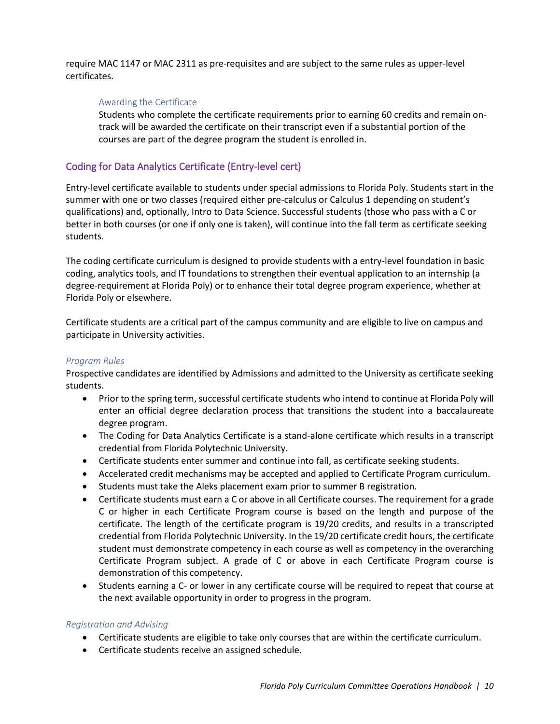require MAC 1147 or MAC 2311 as pre-requisites and are subject to the same rules as upper-level certificates.

#### Awarding the Certificate

Students who complete the certificate requirements prior to earning 60 credits and remain ontrack will be awarded the certificate on their transcript even if a substantial portion of the courses are part of the degree program the student is enrolled in.

#### <span id="page-9-0"></span>Coding for Data Analytics Certificate (Entry-level cert)

Entry-level certificate available to students under special admissions to Florida Poly. Students start in the summer with one or two classes (required either pre-calculus or Calculus 1 depending on student's qualifications) and, optionally, Intro to Data Science. Successful students (those who pass with a C or better in both courses (or one if only one is taken), will continue into the fall term as certificate seeking students.

The coding certificate curriculum is designed to provide students with a entry-level foundation in basic coding, analytics tools, and IT foundations to strengthen their eventual application to an internship (a degree-requirement at Florida Poly) or to enhance their total degree program experience, whether at Florida Poly or elsewhere.

Certificate students are a critical part of the campus community and are eligible to live on campus and participate in University activities.

#### *Program Rules*

Prospective candidates are identified by Admissions and admitted to the University as certificate seeking students.

- Prior to the spring term, successful certificate students who intend to continue at Florida Poly will enter an official degree declaration process that transitions the student into a baccalaureate degree program.
- The Coding for Data Analytics Certificate is a stand-alone certificate which results in a transcript credential from Florida Polytechnic University.
- Certificate students enter summer and continue into fall, as certificate seeking students.
- Accelerated credit mechanisms may be accepted and applied to Certificate Program curriculum.
- Students must take the Aleks placement exam prior to summer B registration.
- Certificate students must earn a C or above in all Certificate courses. The requirement for a grade C or higher in each Certificate Program course is based on the length and purpose of the certificate. The length of the certificate program is 19/20 credits, and results in a transcripted credential from Florida Polytechnic University. In the 19/20 certificate credit hours, the certificate student must demonstrate competency in each course as well as competency in the overarching Certificate Program subject. A grade of C or above in each Certificate Program course is demonstration of this competency.
- Students earning a C- or lower in any certificate course will be required to repeat that course at the next available opportunity in order to progress in the program.

#### *Registration and Advising*

- Certificate students are eligible to take only courses that are within the certificate curriculum.
- Certificate students receive an assigned schedule.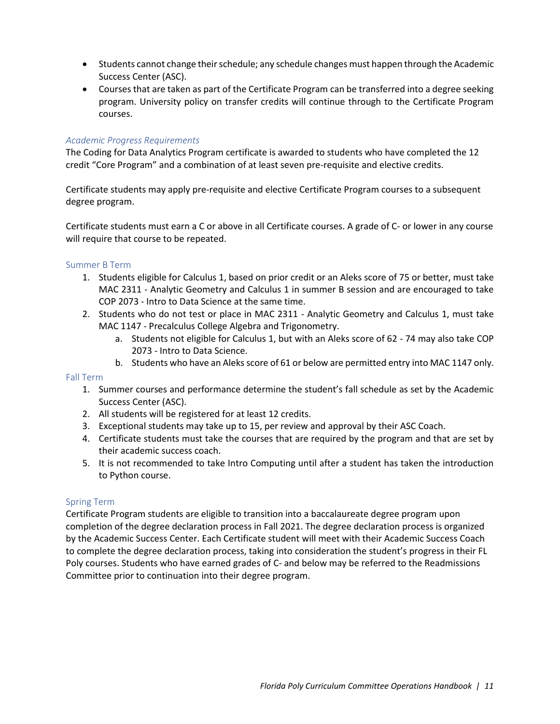- Students cannot change their schedule; any schedule changes must happen through the Academic Success Center (ASC).
- Courses that are taken as part of the Certificate Program can be transferred into a degree seeking program. University policy on transfer credits will continue through to the Certificate Program courses.

#### *Academic Progress Requirements*

The Coding for Data Analytics Program certificate is awarded to students who have completed the 12 credit "Core Program" and a combination of at least seven pre-requisite and elective credits.

Certificate students may apply pre-requisite and elective Certificate Program courses to a subsequent degree program.

Certificate students must earn a C or above in all Certificate courses. A grade of C- or lower in any course will require that course to be repeated.

#### Summer B Term

- 1. Students eligible for Calculus 1, based on prior credit or an Aleks score of 75 or better, must take MAC 2311 - Analytic Geometry and Calculus 1 in summer B session and are encouraged to take COP 2073 - Intro to Data Science at the same time.
- 2. Students who do not test or place in MAC 2311 Analytic Geometry and Calculus 1, must take MAC 1147 - Precalculus College Algebra and Trigonometry.
	- a. Students not eligible for Calculus 1, but with an Aleks score of 62 74 may also take COP 2073 - Intro to Data Science.
	- b. Students who have an Aleks score of 61 or below are permitted entry into MAC 1147 only.

#### Fall Term

- 1. Summer courses and performance determine the student's fall schedule as set by the Academic Success Center (ASC).
- 2. All students will be registered for at least 12 credits.
- 3. Exceptional students may take up to 15, per review and approval by their ASC Coach.
- 4. Certificate students must take the courses that are required by the program and that are set by their academic success coach.
- 5. It is not recommended to take Intro Computing until after a student has taken the introduction to Python course.

#### Spring Term

Certificate Program students are eligible to transition into a baccalaureate degree program upon completion of the degree declaration process in Fall 2021. The degree declaration process is organized by the Academic Success Center. Each Certificate student will meet with their Academic Success Coach to complete the degree declaration process, taking into consideration the student's progress in their FL Poly courses. Students who have earned grades of C- and below may be referred to the Readmissions Committee prior to continuation into their degree program.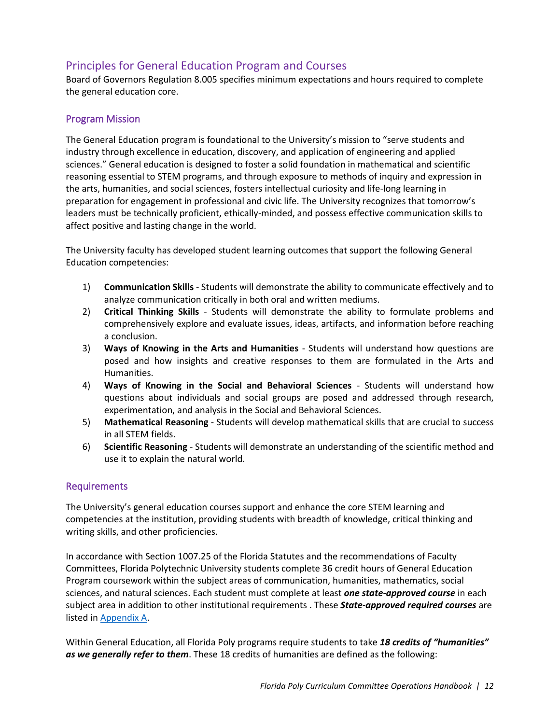### <span id="page-11-0"></span>Principles for General Education Program and Courses

Board of Governors Regulation 8.005 specifies minimum expectations and hours required to complete the general education core.

### <span id="page-11-1"></span>Program Mission

The General Education program is foundational to the University's mission to "serve students and industry through excellence in education, discovery, and application of engineering and applied sciences." General education is designed to foster a solid foundation in mathematical and scientific reasoning essential to STEM programs, and through exposure to methods of inquiry and expression in the arts, humanities, and social sciences, fosters intellectual curiosity and life-long learning in preparation for engagement in professional and civic life. The University recognizes that tomorrow's leaders must be technically proficient, ethically-minded, and possess effective communication skills to affect positive and lasting change in the world.

The University faculty has developed student learning outcomes that support the following General Education competencies:

- 1) **Communication Skills** Students will demonstrate the ability to communicate effectively and to analyze communication critically in both oral and written mediums.
- 2) **Critical Thinking Skills** Students will demonstrate the ability to formulate problems and comprehensively explore and evaluate issues, ideas, artifacts, and information before reaching a conclusion.
- 3) **Ways of Knowing in the Arts and Humanities** Students will understand how questions are posed and how insights and creative responses to them are formulated in the Arts and Humanities.
- 4) **Ways of Knowing in the Social and Behavioral Sciences** Students will understand how questions about individuals and social groups are posed and addressed through research, experimentation, and analysis in the Social and Behavioral Sciences.
- 5) **Mathematical Reasoning** Students will develop mathematical skills that are crucial to success in all STEM fields.
- 6) **Scientific Reasoning** Students will demonstrate an understanding of the scientific method and use it to explain the natural world.

#### <span id="page-11-2"></span>Requirements

The University's general education courses support and enhance the core STEM learning and competencies at the institution, providing students with breadth of knowledge, critical thinking and writing skills, and other proficiencies.

In accordance with Section 1007.25 of the Florida Statutes and the recommendations of Faculty Committees, Florida Polytechnic University students complete 36 credit hours of General Education Program coursework within the subject areas of communication, humanities, mathematics, social sciences, and natural sciences. Each student must complete at least *one state-approved course* in each subject area in addition to other institutional requirements . These *State-approved required courses* are listed i[n Appendix A.](#page-16-0)

Within General Education, all Florida Poly programs require students to take *18 credits of "humanities" as we generally refer to them*. These 18 credits of humanities are defined as the following: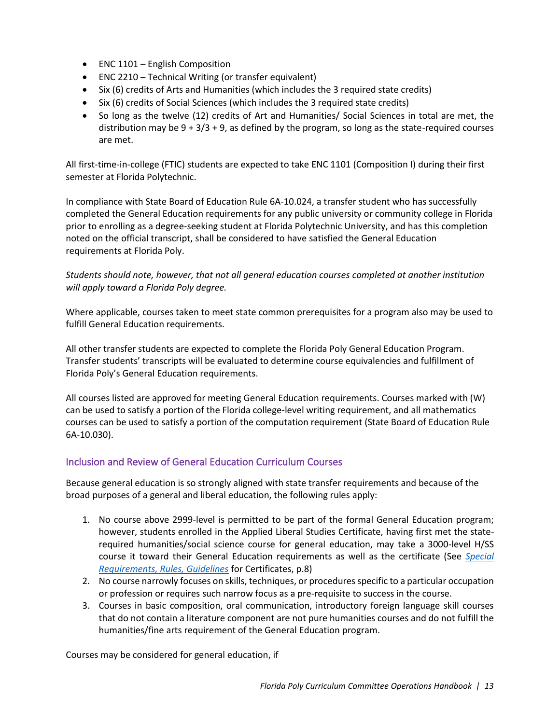- ENC 1101 English Composition
- ENC 2210 Technical Writing (or transfer equivalent)
- Six (6) credits of Arts and Humanities (which includes the 3 required state credits)
- Six (6) credits of Social Sciences (which includes the 3 required state credits)
- So long as the twelve (12) credits of Art and Humanities/ Social Sciences in total are met, the distribution may be  $9 + 3/3 + 9$ , as defined by the program, so long as the state-required courses are met.

All first-time-in-college (FTIC) students are expected to take ENC 1101 (Composition I) during their first semester at Florida Polytechnic.

In compliance with State Board of Education Rule 6A-10.024, a transfer student who has successfully completed the General Education requirements for any public university or community college in Florida prior to enrolling as a degree-seeking student at Florida Polytechnic University, and has this completion noted on the official transcript, shall be considered to have satisfied the General Education requirements at Florida Poly.

#### *Students should note, however, that not all general education courses completed at another institution will apply toward a Florida Poly degree.*

Where applicable, courses taken to meet state common prerequisites for a program also may be used to fulfill General Education requirements.

All other transfer students are expected to complete the Florida Poly General Education Program. Transfer students' transcripts will be evaluated to determine course equivalencies and fulfillment of Florida Poly's General Education requirements.

All courses listed are approved for meeting General Education requirements. Courses marked with (W) can be used to satisfy a portion of the Florida college-level writing requirement, and all mathematics courses can be used to satisfy a portion of the computation requirement (State Board of Education Rule 6A-10.030).

#### <span id="page-12-0"></span>Inclusion and Review of General Education Curriculum Courses

Because general education is so strongly aligned with state transfer requirements and because of the broad purposes of a general and liberal education, the following rules apply:

- 1. No course above 2999-level is permitted to be part of the formal General Education program; however, students enrolled in the Applied Liberal Studies Certificate, having first met the staterequired humanities/social science course for general education, may take a 3000-level H/SS course it toward their General Education requirements as well as the certificate (See *[Special](#page-8-1)  [Requirements, Rules, Guidelines](#page-8-1)* for Certificates, p.8)
- 2. No course narrowly focuses on skills, techniques, or procedures specific to a particular occupation or profession or requires such narrow focus as a pre-requisite to success in the course.
- 3. Courses in basic composition, oral communication, introductory foreign language skill courses that do not contain a literature component are not pure humanities courses and do not fulfill the humanities/fine arts requirement of the General Education program.

Courses may be considered for general education, if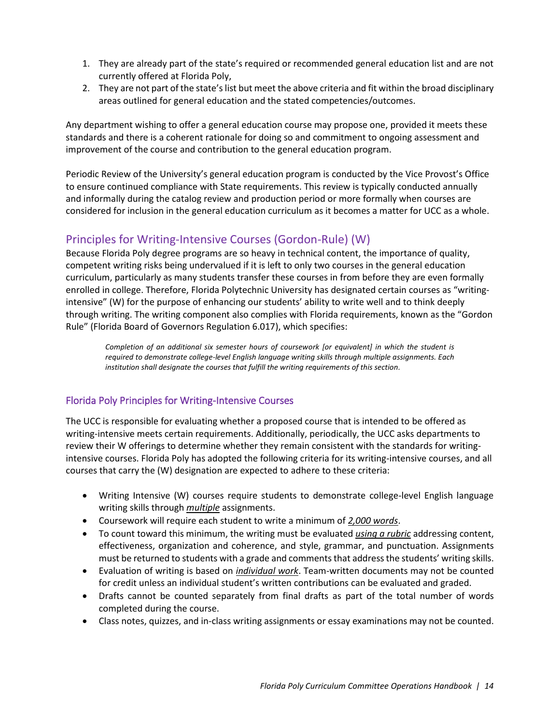- 1. They are already part of the state's required or recommended general education list and are not currently offered at Florida Poly,
- 2. They are not part of the state's list but meet the above criteria and fit within the broad disciplinary areas outlined for general education and the stated competencies/outcomes.

Any department wishing to offer a general education course may propose one, provided it meets these standards and there is a coherent rationale for doing so and commitment to ongoing assessment and improvement of the course and contribution to the general education program.

Periodic Review of the University's general education program is conducted by the Vice Provost's Office to ensure continued compliance with State requirements. This review is typically conducted annually and informally during the catalog review and production period or more formally when courses are considered for inclusion in the general education curriculum as it becomes a matter for UCC as a whole.

### <span id="page-13-0"></span>Principles for Writing-Intensive Courses (Gordon-Rule) (W)

Because Florida Poly degree programs are so heavy in technical content, the importance of quality, competent writing risks being undervalued if it is left to only two courses in the general education curriculum, particularly as many students transfer these courses in from before they are even formally enrolled in college. Therefore, Florida Polytechnic University has designated certain courses as "writingintensive" (W) for the purpose of enhancing our students' ability to write well and to think deeply through writing. The writing component also complies with Florida requirements, known as the "Gordon Rule" (Florida Board of Governors Regulation 6.017), which specifies:

*Completion of an additional six semester hours of coursework [or equivalent] in which the student is required to demonstrate college-level English language writing skills through multiple assignments. Each institution shall designate the courses that fulfill the writing requirements of this section.*

### <span id="page-13-1"></span>Florida Poly Principles for Writing-Intensive Courses

The UCC is responsible for evaluating whether a proposed course that is intended to be offered as writing-intensive meets certain requirements. Additionally, periodically, the UCC asks departments to review their W offerings to determine whether they remain consistent with the standards for writingintensive courses. Florida Poly has adopted the following criteria for its writing-intensive courses, and all courses that carry the (W) designation are expected to adhere to these criteria:

- Writing Intensive (W) courses require students to demonstrate college-level English language writing skills through *multiple* assignments.
- Coursework will require each student to write a minimum of *2,000 words*.
- To count toward this minimum, the writing must be evaluated *using a rubric* addressing content, effectiveness, organization and coherence, and style, grammar, and punctuation. Assignments must be returned to students with a grade and comments that address the students' writing skills.
- Evaluation of writing is based on *individual work*. Team-written documents may not be counted for credit unless an individual student's written contributions can be evaluated and graded.
- Drafts cannot be counted separately from final drafts as part of the total number of words completed during the course.
- Class notes, quizzes, and in-class writing assignments or essay examinations may not be counted.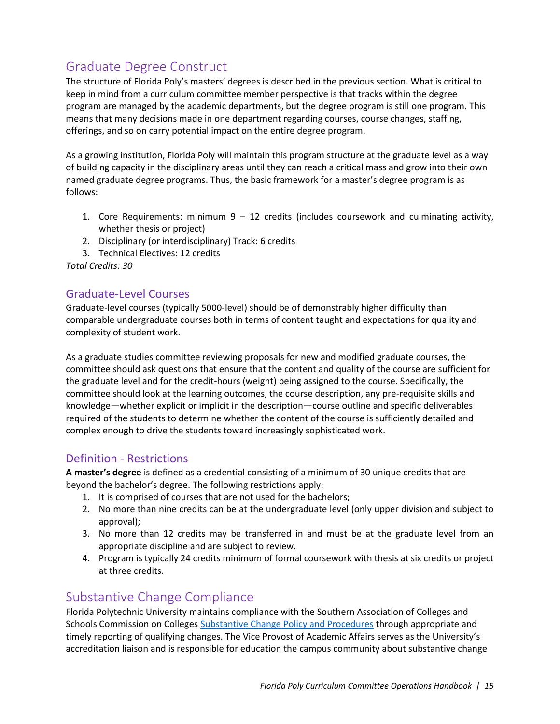# <span id="page-14-0"></span>Graduate Degree Construct

The structure of Florida Poly's masters' degrees is described in the previous section. What is critical to keep in mind from a curriculum committee member perspective is that tracks within the degree program are managed by the academic departments, but the degree program is still one program. This means that many decisions made in one department regarding courses, course changes, staffing, offerings, and so on carry potential impact on the entire degree program.

As a growing institution, Florida Poly will maintain this program structure at the graduate level as a way of building capacity in the disciplinary areas until they can reach a critical mass and grow into their own named graduate degree programs. Thus, the basic framework for a master's degree program is as follows:

- 1. Core Requirements: minimum 9 12 credits (includes coursework and culminating activity, whether thesis or project)
- 2. Disciplinary (or interdisciplinary) Track: 6 credits
- 3. Technical Electives: 12 credits

*Total Credits: 30*

### <span id="page-14-1"></span>Graduate-Level Courses

Graduate-level courses (typically 5000-level) should be of demonstrably higher difficulty than comparable undergraduate courses both in terms of content taught and expectations for quality and complexity of student work.

As a graduate studies committee reviewing proposals for new and modified graduate courses, the committee should ask questions that ensure that the content and quality of the course are sufficient for the graduate level and for the credit-hours (weight) being assigned to the course. Specifically, the committee should look at the learning outcomes, the course description, any pre-requisite skills and knowledge—whether explicit or implicit in the description—course outline and specific deliverables required of the students to determine whether the content of the course is sufficiently detailed and complex enough to drive the students toward increasingly sophisticated work.

### <span id="page-14-2"></span>Definition - Restrictions

**A master's degree** is defined as a credential consisting of a minimum of 30 unique credits that are beyond the bachelor's degree. The following restrictions apply:

- 1. It is comprised of courses that are not used for the bachelors;
- 2. No more than nine credits can be at the undergraduate level (only upper division and subject to approval);
- 3. No more than 12 credits may be transferred in and must be at the graduate level from an appropriate discipline and are subject to review.
- 4. Program is typically 24 credits minimum of formal coursework with thesis at six credits or project at three credits.

# <span id="page-14-3"></span>Substantive Change Compliance

Florida Polytechnic University maintains compliance with the Southern Association of Colleges and Schools Commission on Colleges [Substantive Change Policy and Procedures](https://sacscoc.org/app/uploads/2019/08/SubstantiveChange.pdf) through appropriate and timely reporting of qualifying changes. The Vice Provost of Academic Affairs serves as the University's accreditation liaison and is responsible for education the campus community about substantive change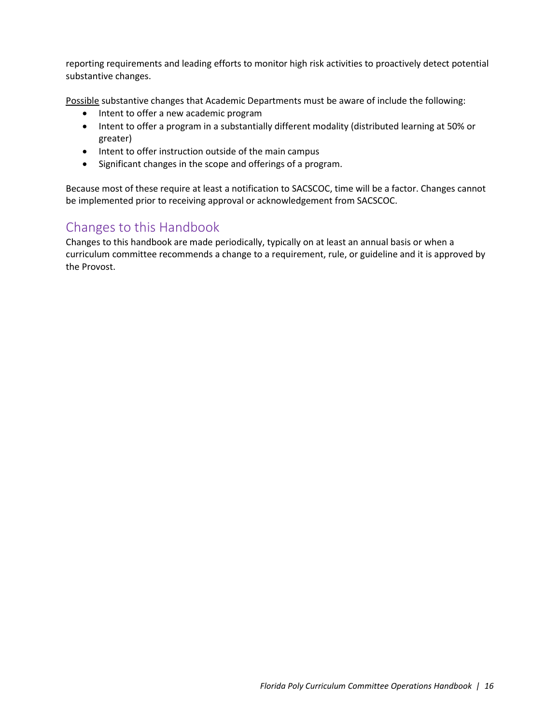reporting requirements and leading efforts to monitor high risk activities to proactively detect potential substantive changes.

Possible substantive changes that Academic Departments must be aware of include the following:

- Intent to offer a new academic program
- Intent to offer a program in a substantially different modality (distributed learning at 50% or greater)
- Intent to offer instruction outside of the main campus
- Significant changes in the scope and offerings of a program.

Because most of these require at least a notification to SACSCOC, time will be a factor. Changes cannot be implemented prior to receiving approval or acknowledgement from SACSCOC.

# <span id="page-15-0"></span>Changes to this Handbook

Changes to this handbook are made periodically, typically on at least an annual basis or when a curriculum committee recommends a change to a requirement, rule, or guideline and it is approved by the Provost.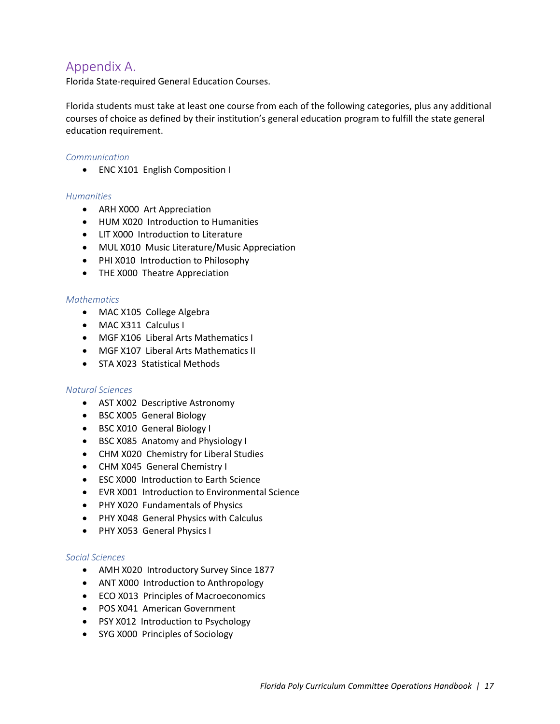### <span id="page-16-0"></span>Appendix A.

Florida State-required General Education Courses.

Florida students must take at least one course from each of the following categories, plus any additional courses of choice as defined by their institution's general education program to fulfill the state general education requirement.

#### *Communication*

• ENC X101 English Composition I

#### *Humanities*

- ARH X000 Art Appreciation
- HUM X020 Introduction to Humanities
- LIT X000 Introduction to Literature
- MUL X010 Music Literature/Music Appreciation
- PHI X010 Introduction to Philosophy
- THE X000 Theatre Appreciation

#### *Mathematics*

- MAC X105 College Algebra
- MAC X311 Calculus I
- MGF X106 Liberal Arts Mathematics I
- MGF X107 Liberal Arts Mathematics II
- STA X023 Statistical Methods

#### *Natural Sciences*

- AST X002 Descriptive Astronomy
- BSC X005 General Biology
- BSC X010 General Biology I
- BSC X085 Anatomy and Physiology I
- CHM X020 Chemistry for Liberal Studies
- CHM X045 General Chemistry I
- ESC X000 Introduction to Earth Science
- EVR X001 Introduction to Environmental Science
- PHY X020 Fundamentals of Physics
- PHY X048 General Physics with Calculus
- PHY X053 General Physics I

#### *Social Sciences*

- AMH X020 Introductory Survey Since 1877
- ANT X000 Introduction to Anthropology
- ECO X013 Principles of Macroeconomics
- POS X041 American Government
- PSY X012 Introduction to Psychology
- SYG X000 Principles of Sociology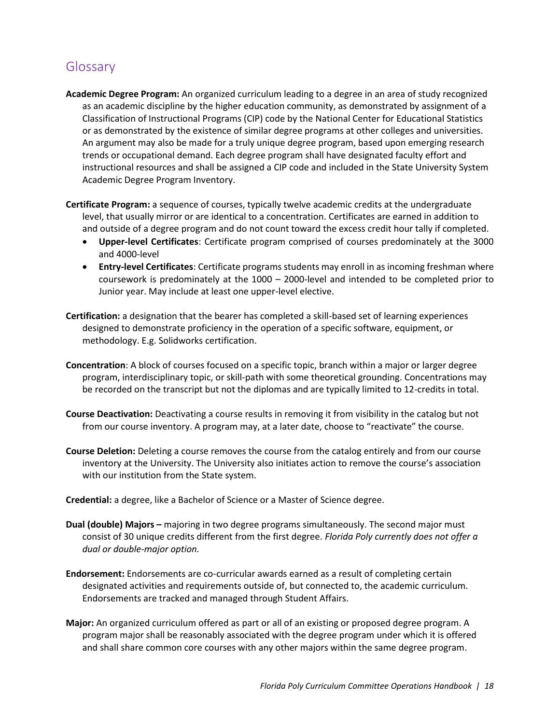# <span id="page-17-0"></span>**Glossary**

- **Academic Degree Program:** An organized curriculum leading to a degree in an area of study recognized as an academic discipline by the higher education community, as demonstrated by assignment of a Classification of Instructional Programs (CIP) code by the National Center for Educational Statistics or as demonstrated by the existence of similar degree programs at other colleges and universities. An argument may also be made for a truly unique degree program, based upon emerging research trends or occupational demand. Each degree program shall have designated faculty effort and instructional resources and shall be assigned a CIP code and included in the State University System Academic Degree Program Inventory.
- **Certificate Program:** a sequence of courses, typically twelve academic credits at the undergraduate level, that usually mirror or are identical to a concentration. Certificates are earned in addition to and outside of a degree program and do not count toward the excess credit hour tally if completed.
	- **Upper-level Certificates**: Certificate program comprised of courses predominately at the 3000 and 4000-level
	- **Entry-level Certificates**: Certificate programs students may enroll in as incoming freshman where coursework is predominately at the 1000 – 2000-level and intended to be completed prior to Junior year. May include at least one upper-level elective.
- **Certification:** a designation that the bearer has completed a skill-based set of learning experiences designed to demonstrate proficiency in the operation of a specific software, equipment, or methodology. E.g. Solidworks certification.
- **Concentration**: A block of courses focused on a specific topic, branch within a major or larger degree program, interdisciplinary topic, or skill-path with some theoretical grounding. Concentrations may be recorded on the transcript but not the diplomas and are typically limited to 12-credits in total.
- **Course Deactivation:** Deactivating a course results in removing it from visibility in the catalog but not from our course inventory. A program may, at a later date, choose to "reactivate" the course.
- **Course Deletion:** Deleting a course removes the course from the catalog entirely and from our course inventory at the University. The University also initiates action to remove the course's association with our institution from the State system.

**Credential:** a degree, like a Bachelor of Science or a Master of Science degree.

- **Dual (double) Majors –** majoring in two degree programs simultaneously. The second major must consist of 30 unique credits different from the first degree. *Florida Poly currently does not offer a dual or double-major option.*
- **Endorsement:** Endorsements are co-curricular awards earned as a result of completing certain designated activities and requirements outside of, but connected to, the academic curriculum. Endorsements are tracked and managed through Student Affairs.
- **Major:** An organized curriculum offered as part or all of an existing or proposed degree program. A program major shall be reasonably associated with the degree program under which it is offered and shall share common core courses with any other majors within the same degree program.